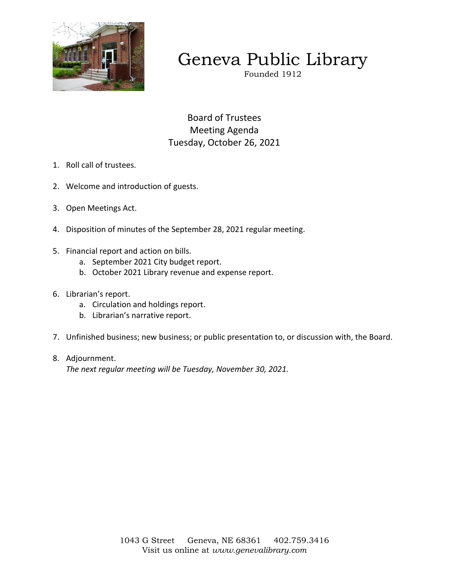

# Geneva Public Library

Founded 1912

Board of Trustees Meeting Agenda Tuesday, October 26, 2021

- 1. Roll call of trustees.
- 2. Welcome and introduction of guests.
- 3. Open Meetings Act.
- 4. Disposition of minutes of the September 28, 2021 regular meeting.
- 5. Financial report and action on bills.
	- a. September 2021 City budget report.
	- b. October 2021 Library revenue and expense report.
- 6. Librarian's report.
	- a. Circulation and holdings report.
	- b. Librarian's narrative report.
- 7. Unfinished business; new business; or public presentation to, or discussion with, the Board.
- 8. Adjournment. *The next regular meeting will be Tuesday, November 30, 2021.*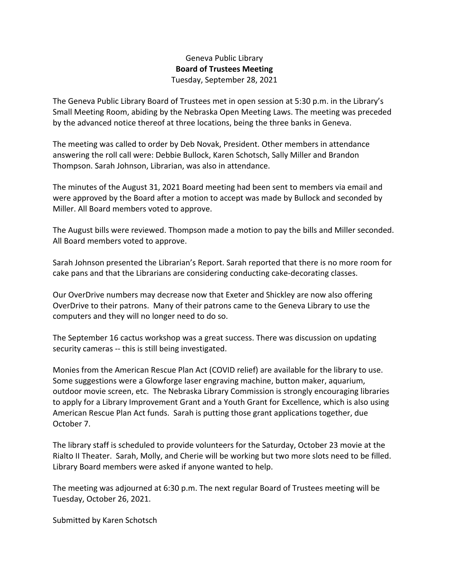# Geneva Public Library **Board of Trustees Meeting**  Tuesday, September 28, 2021

The Geneva Public Library Board of Trustees met in open session at 5:30 p.m. in the Library's Small Meeting Room, abiding by the Nebraska Open Meeting Laws. The meeting was preceded by the advanced notice thereof at three locations, being the three banks in Geneva.

The meeting was called to order by Deb Novak, President. Other members in attendance answering the roll call were: Debbie Bullock, Karen Schotsch, Sally Miller and Brandon Thompson. Sarah Johnson, Librarian, was also in attendance.

The minutes of the August 31, 2021 Board meeting had been sent to members via email and were approved by the Board after a motion to accept was made by Bullock and seconded by Miller. All Board members voted to approve.

The August bills were reviewed. Thompson made a motion to pay the bills and Miller seconded. All Board members voted to approve.

Sarah Johnson presented the Librarian's Report. Sarah reported that there is no more room for cake pans and that the Librarians are considering conducting cake-decorating classes.

Our OverDrive numbers may decrease now that Exeter and Shickley are now also offering OverDrive to their patrons. Many of their patrons came to the Geneva Library to use the computers and they will no longer need to do so.

The September 16 cactus workshop was a great success. There was discussion on updating security cameras -- this is still being investigated.

Monies from the American Rescue Plan Act (COVID relief) are available for the library to use. Some suggestions were a Glowforge laser engraving machine, button maker, aquarium, outdoor movie screen, etc. The Nebraska Library Commission is strongly encouraging libraries to apply for a Library Improvement Grant and a Youth Grant for Excellence, which is also using American Rescue Plan Act funds. Sarah is putting those grant applications together, due October 7.

The library staff is scheduled to provide volunteers for the Saturday, October 23 movie at the Rialto II Theater. Sarah, Molly, and Cherie will be working but two more slots need to be filled. Library Board members were asked if anyone wanted to help.

The meeting was adjourned at 6:30 p.m. The next regular Board of Trustees meeting will be Tuesday, October 26, 2021.

Submitted by Karen Schotsch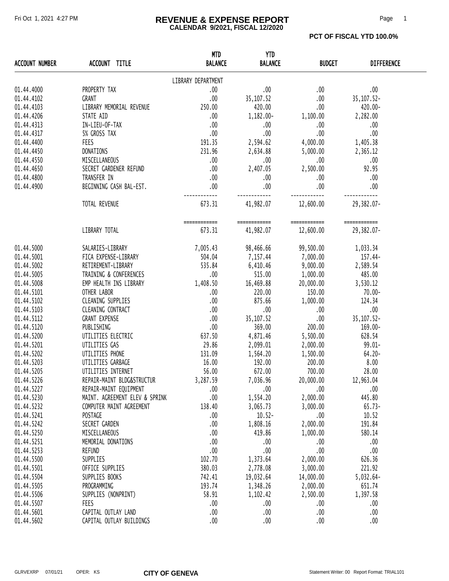### Fri Oct 1, 2021 4:27 PM **REVENUE & EXPENSE REPORT** Page 1 **CALENDAR 9/2021, FISCAL 12/2020**

**PCT OF FISCAL YTD 100.0%** 

| <b>ACCOUNT NUMBER</b> | ACCOUNT TITLE                  | <b>MTD</b><br><b>BALANCE</b> | <b>YTD</b><br><b>BALANCE</b> | <b>BUDGET</b>             | <b>DIFFERENCE</b>          |
|-----------------------|--------------------------------|------------------------------|------------------------------|---------------------------|----------------------------|
|                       |                                | LIBRARY DEPARTMENT           |                              |                           |                            |
| 01.44.4000            | PROPERTY TAX                   | .00                          | .00                          | .00                       | $.00$                      |
| 01.44.4102            | GRANT                          | .00                          | 35, 107.52                   | .00.                      | 35, 107.52-                |
| 01.44.4103            | LIBRARY MEMORIAL REVENUE       | 250.00                       | 420.00                       | .00.                      | 420.00-                    |
| 01.44.4206            | STATE AID                      | .00                          | 1,182.00-                    | 1,100.00                  | 2,282.00                   |
| 01.44.4313            | IN-LIEU-OF-TAX                 | .00                          | .00                          | .00                       | .00                        |
| 01.44.4317            | 5% GROSS TAX                   | .00.                         | .00                          | .00                       | .00                        |
|                       |                                |                              |                              |                           |                            |
| 01.44.4400            | FEES                           | 191.35                       | 2,594.62                     | 4,000.00                  | 1,405.38                   |
| 01.44.4450            | DONATIONS                      | 231.96                       | 2,634.88                     | 5,000.00                  | 2,365.12                   |
| 01.44.4550            | MISCELLANEOUS                  | .00                          | .00.                         | .00.                      | .00                        |
| 01.44.4650            | SECRET GARDENER REFUND         | .00                          | 2,407.05                     | 2,500.00                  | 92.95                      |
| 01.44.4800            | TRANSFER IN                    | .00.                         | .00.                         | .00.                      | .00                        |
| 01.44.4900            | BEGINNING CASH BAL-EST.        | .00                          | .00                          | .00                       | .00                        |
|                       | TOTAL REVENUE                  | 673.31                       | 41,982.07                    | 12,600.00                 | 29,382.07-                 |
|                       | LIBRARY TOTAL                  | ============<br>673.31       | ============<br>41,982.07    | ============<br>12,600.00 | ============<br>29,382.07- |
|                       |                                |                              |                              |                           |                            |
| 01.44.5000            | SALARIES-LIBRARY               | 7,005.43                     | 98,466.66                    | 99,500.00                 | 1,033.34                   |
| 01.44.5001            | FICA EXPENSE-LIBRARY           | 504.04                       | 7,157.44                     | 7,000.00                  | 157.44-                    |
| 01.44.5002            | RETIREMENT-LIBRARY             | 535.84                       | 6,410.46                     | 9,000.00                  | 2,589.54                   |
| 01.44.5005            | TRAINING & CONFERENCES         | .00.                         | 515.00                       | 1,000.00                  | 485.00                     |
| 01.44.5008            | EMP HEALTH INS LIBRARY         | 1,408.50                     | 16,469.88                    | 20,000.00                 | 3,530.12                   |
| 01.44.5101            | OTHER LABOR                    | .00.                         | 220.00                       | 150.00                    | 70.00-                     |
| 01.44.5102            | CLEANING SUPPLIES              | .00                          | 875.66                       | 1,000.00                  | 124.34                     |
| 01.44.5103            | CLEANING CONTRACT              | .00                          | .00                          | .00                       | .00                        |
| 01.44.5112            | <b>GRANT EXPENSE</b>           | .00                          | 35, 107.52                   | .00                       | 35, 107.52-                |
| 01.44.5120            | PUBLISHING                     | .00                          | 369.00                       | 200.00                    | 169.00-                    |
| 01.44.5200            | UTILITIES ELECTRIC             | 637.50                       | 4,871.46                     | 5,500.00                  | 628.54                     |
| 01.44.5201            | UTILITIES GAS                  | 29.86                        | 2,099.01                     | 2,000.00                  | $99.01 -$                  |
| 01.44.5202            | UTILITIES PHONE                | 131.09                       | 1,564.20                     | 1,500.00                  | $64.20 -$                  |
| 01.44.5203            | UTILITIES GARBAGE              | 16.00                        | 192.00                       | 200.00                    | 8.00                       |
| 01.44.5205            | UTILITIES INTERNET             | 56.00                        | 672.00                       | 700.00                    | 28.00                      |
| 01.44.5226            | REPAIR-MAINT BLDG&STRUCTUR     | 3,287.59                     | 7,036.96                     | 20,000.00                 | 12,963.04                  |
| 01.44.5227            | REPAIR-MAINT EQUIPMENT         | .00                          | .00.                         | .00                       | .00                        |
| 01.44.5230            | MAINT. AGREEMENT ELEV & SPRINK | .00                          | 1,554.20                     | 2,000.00                  | 445.80                     |
| 01.44.5232            | COMPUTER MAINT AGREEMENT       | 138.40                       | 3,065.73                     | 3,000.00                  | $65.73-$                   |
| 01.44.5241            | POSTAGE                        |                              | $10.52 -$                    | .00                       | 10.52                      |
|                       |                                | .00                          |                              |                           | 191.84                     |
| 01.44.5242            | SECRET GARDEN                  | .00                          | 1,808.16                     | 2,000.00                  |                            |
| 01.44.5250            | MISCELLANEOUS                  | .00                          | 419.86                       | 1,000.00                  | 580.14                     |
| 01.44.5251            | MEMORIAL DONATIONS             | .00                          | .00                          | .00                       | .00                        |
| 01.44.5253            | <b>REFUND</b>                  | .00                          | .00                          | .00                       | .00                        |
| 01.44.5500            | SUPPLIES                       | 102.70                       | 1,373.64                     | 2,000.00                  | 626.36                     |
| 01.44.5501            | OFFICE SUPPLIES                | 380.03                       | 2,778.08                     | 3,000.00                  | 221.92                     |
| 01.44.5504            | SUPPLIES BOOKS                 | 742.41                       | 19,032.64                    | 14,000.00                 | $5,032.64-$                |
| 01.44.5505            | PROGRAMMING                    | 193.74                       | 1,348.26                     | 2,000.00                  | 651.74                     |
| 01.44.5506            | SUPPLIES (NONPRINT)            | 58.91                        | 1,102.42                     | 2,500.00                  | 1,397.58                   |
| 01.44.5507            | FEES                           | .00                          | .00.                         | .00                       | .00                        |
| 01.44.5601            | CAPITAL OUTLAY LAND            | .00                          | .00                          | .00                       | .00                        |
| 01.44.5602            | CAPITAL OUTLAY BUILDINGS       | .00                          | .00                          | .00                       | .00                        |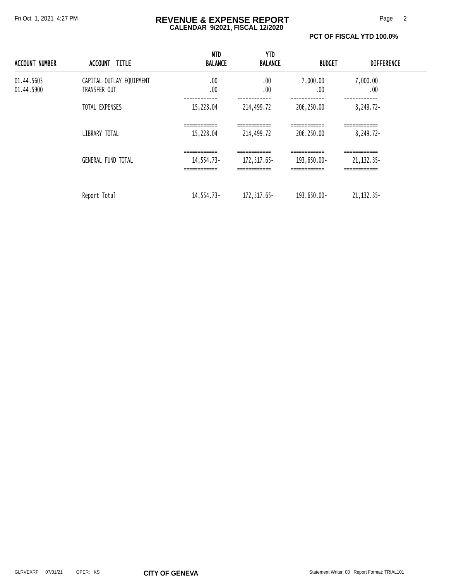### Fri Oct 1, 2021 4:27 PM **REVENUE & EXPENSE REPORT** Page 2 **CALENDAR 9/2021, FISCAL 12/2020**

#### **PCT OF FISCAL YTD 100.0%**

| <b>ACCOUNT NUMBER</b>    | ACCOUNT TITLE                            | <b>MTD</b><br><b>BALANCE</b>               | YTD<br><b>BALANCE</b>                        | BUDGET                                                  | <b>DIFFERENCE</b>                            |  |
|--------------------------|------------------------------------------|--------------------------------------------|----------------------------------------------|---------------------------------------------------------|----------------------------------------------|--|
| 01.44.5603<br>01.44.5900 | CAPITAL OUTLAY EQUIPMENT<br>TRANSFER OUT | .00<br>.00                                 | .00<br>.00                                   | 7,000.00<br>.00                                         | 7,000.00<br>.00                              |  |
|                          | TOTAL EXPENSES                           | 15,228.04                                  | 214,499.72                                   | 206,250.00                                              | 8,249.72-                                    |  |
|                          | LIBRARY TOTAL                            | ============<br>15,228.04                  | ============<br>214,499.72                   | -------------<br>==========<br>206,250.00               | ============<br>8,249.72-                    |  |
|                          | <b>GENERAL FUND TOTAL</b>                | ============<br>14,554.73-<br>============ | ============<br>172, 517.65-<br>============ | ------------<br>193,650.00-<br>__________<br>---------- | ------------<br>21, 132. 35-<br>============ |  |
|                          | Report Total                             | 14,554.73-                                 | 172,517.65-                                  | 193,650.00-                                             | 21, 132. 35-                                 |  |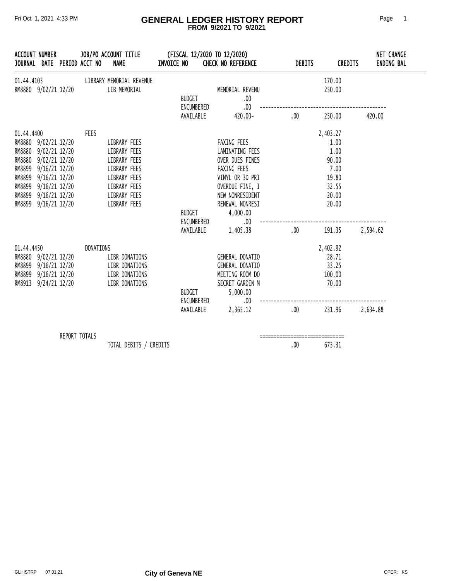### Fri Oct 1, 2021 4:33 PM **GENERAL LEDGER HISTORY REPORT** Page 1  **FROM 9/2021 TO 9/2021**

|                                                              | <b>ACCOUNT NUMBER</b>                                                                                                                                         |               | JOURNAL DATE PERIOD ACCT NO | JOB/PO ACCOUNT TITLE<br><b>NAME</b>                                                                                          | INVOICE NO |                                          | (FISCAL 12/2020 TO 12/2020)<br><b>CHECK NO REFERENCE</b>                                                                                                                     | <b>DEBITS</b>                    | <b>CREDITS</b>                                                                          | NET CHANGE<br><b>ENDING BAL</b> |
|--------------------------------------------------------------|---------------------------------------------------------------------------------------------------------------------------------------------------------------|---------------|-----------------------------|------------------------------------------------------------------------------------------------------------------------------|------------|------------------------------------------|------------------------------------------------------------------------------------------------------------------------------------------------------------------------------|----------------------------------|-----------------------------------------------------------------------------------------|---------------------------------|
| 01.44.4103                                                   | RM8880 9/02/21 12/20                                                                                                                                          |               |                             | LIBRARY MEMORIAL REVENUE<br>LIB MEMORIAL                                                                                     |            | <b>BUDGET</b><br>ENCUMBERED              | MEMORIAL REVENU<br>.00<br>.00                                                                                                                                                |                                  | 170.00<br>250.00                                                                        |                                 |
|                                                              |                                                                                                                                                               |               |                             |                                                                                                                              |            | AVAILABLE                                | 420.00-                                                                                                                                                                      | .00.                             | 250.00                                                                                  | 420.00                          |
| 01.44.4400<br>RM8880<br>RM8899<br>RM8899<br>RM8899<br>RM8899 | RM8880 9/02/21 12/20<br>RM8880 9/02/21 12/20<br>9/02/21 12/20<br>$9/16/21$ 12/20<br>9/16/21 12/20<br>9/16/21 12/20<br>$9/16/21$ 12/20<br>RM8899 9/16/21 12/20 |               | <b>FEES</b>                 | LIBRARY FEES<br>LIBRARY FEES<br>LIBRARY FEES<br>LIBRARY FEES<br>LIBRARY FEES<br>LIBRARY FEES<br>LIBRARY FEES<br>LIBRARY FEES |            | BUDGET<br>ENCUMBERED<br>AVAILABLE        | FAXING FEES<br>LAMINATING FEES<br>OVER DUES FINES<br>FAXING FEES<br>VINYL OR 3D PRI<br>OVERDUE FINE, I<br>NEW NONRESIDENT<br>RENEWAL NONRESI<br>4,000.00<br>.00.<br>1,405.38 | .00                              | 2,403.27<br>1.00<br>1.00<br>90.00<br>7.00<br>19.80<br>32.55<br>20.00<br>20.00<br>191.35 | 2,594.62                        |
| 01.44.4450                                                   | RM8880 9/02/21 12/20<br>RM8899 9/16/21 12/20<br>RM8899 9/16/21 12/20<br>RM8913 9/24/21 12/20                                                                  |               | DONATIONS                   | LIBR DONATIONS<br>LIBR DONATIONS<br>LIBR DONATIONS<br>LIBR DONATIONS                                                         |            | <b>BUDGET</b><br>ENCUMBERED<br>AVAILABLE | GENERAL DONATIO<br>GENERAL DONATIO<br>MEETING ROOM DO<br>SECRET GARDEN M<br>5,000.00<br>.00.<br>2,365.12                                                                     | .00.                             | 2,402.92<br>28.71<br>33.25<br>100.00<br>70.00<br>231.96                                 | 2,634.88                        |
|                                                              |                                                                                                                                                               | REPORT TOTALS |                             |                                                                                                                              |            |                                          |                                                                                                                                                                              | ================================ |                                                                                         |                                 |

TOTAL DEBITS / CREDITS 673.31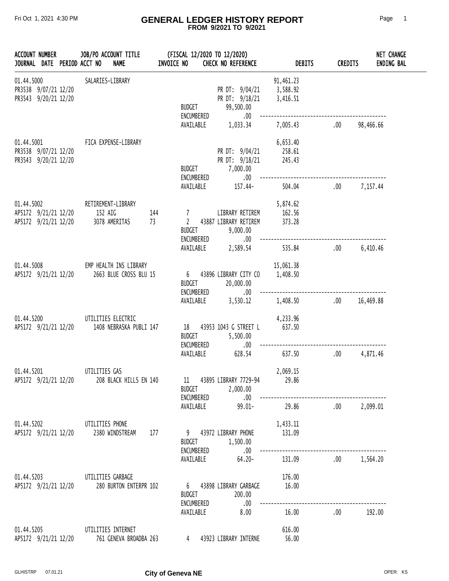### Fri Oct 1, 2021 4:30 PM **GENERAL LEDGER HISTORY REPORT** Page 1  **FROM 9/2021 TO 9/2021**

| <b>ACCOUNT NUMBER</b>                                      |  | JOB/PO ACCOUNT TITLE<br>JOURNAL DATE PERIOD ACCT NO<br><b>NAME</b>          | INVOICE NO |                                                  | (FISCAL 12/2020 TO 12/2020)<br>CHECK NO REFERENCE           | <b>DEBITS</b>                     | <b>CREDITS</b> |              | <b>NET CHANGE</b><br>ENDING BAL |
|------------------------------------------------------------|--|-----------------------------------------------------------------------------|------------|--------------------------------------------------|-------------------------------------------------------------|-----------------------------------|----------------|--------------|---------------------------------|
| 01.44.5000<br>PR3538 9/07/21 12/20<br>PR3543 9/20/21 12/20 |  | SALARIES-LIBRARY                                                            |            | <b>BUDGET</b><br>ENCUMBERED                      | PR DT: 9/04/21<br>PR DT: 9/18/21<br>99,500.00<br>.00.       | 91,461.23<br>3,588.92<br>3,416.51 |                |              |                                 |
|                                                            |  |                                                                             |            | AVAILABLE                                        | 1,033.34                                                    | 7,005.43                          | .00            | 98,466.66    |                                 |
| 01.44.5001<br>PR3538 9/07/21 12/20<br>PR3543 9/20/21 12/20 |  | FICA EXPENSE-LIBRARY                                                        |            | <b>BUDGET</b><br>ENCUMBERED                      | PR DT: 9/04/21<br>PR DT: 9/18/21<br>7,000.00<br>.00.        | 6,653.40<br>258.61<br>245.43      |                |              |                                 |
|                                                            |  |                                                                             |            | AVAILABLE                                        | 157.44-                                                     | 504.04                            | .00            | 7,157.44     |                                 |
| 01.44.5002<br>AP5172 9/21/21 12/20<br>AP5172 9/21/21 12/20 |  | RETIREMENT-LIBRARY<br>152 AIG<br>3078 AMERITAS                              | 144<br>73  | 7<br>$\mathbf{2}$<br><b>BUDGET</b><br>ENCUMBERED | LIBRARY RETIREM<br>43887 LIBRARY RETIREM<br>9,000.00<br>.00 | 5,874.62<br>162.56<br>373.28      |                |              |                                 |
|                                                            |  |                                                                             |            | AVAILABLE                                        | 2,589.54                                                    | 535.84                            | .00            | 6,410.46     |                                 |
| 01.44.5008<br>AP5172 9/21/21 12/20                         |  | EMP HEALTH INS LIBRARY<br>2663 BLUE CROSS BLU 15                            |            | <b>BUDGET</b>                                    | 6 43896 LIBRARY CITY CO<br>20,000.00                        | 15,061.38<br>1,408.50             |                |              |                                 |
|                                                            |  |                                                                             |            | ENCUMBERED<br>AVAILABLE                          | .00.<br>3,530.12                                            | 1,408.50                          | .00            | 16,469.88    |                                 |
| 01.44.5200<br>AP5172 9/21/21 12/20                         |  | UTILITIES ELECTRIC<br>1408 NEBRASKA PUBLI 147                               |            | 18<br><b>BUDGET</b><br>ENCUMBERED                | 43953 1043 G STREET L<br>5,500.00<br>.00.                   | 4,233.96<br>637.50                |                |              |                                 |
|                                                            |  |                                                                             |            | AVAILABLE                                        | 628.54                                                      | 637.50                            | .00            | 4,871.46     |                                 |
| 01.44.5201                                                 |  | UTILITIES GAS<br>AP5172 9/21/21 12/20 208 BLACK HILLS EN 140                |            | 11<br><b>BUDGET</b>                              | 43895 LIBRARY 7729-94<br>2,000.00                           | 2,069.15<br>29.86                 |                |              |                                 |
|                                                            |  |                                                                             |            | ENCUMBERED<br>AVAILABLE                          | .00.<br>99.01-                                              | 29.86                             |                | .00 2.099.01 |                                 |
|                                                            |  | 01.44.5202 UTILITIES PHONE<br>AP5172 9/21/21 12/20 2380 WINDSTREAM          | 177        | <b>BUDGET</b>                                    | 9 43972 LIBRARY PHONE<br>1,500.00                           | 1,433.11<br>131.09                |                |              |                                 |
|                                                            |  |                                                                             |            | ENCUMBERED<br>AVAILABLE                          | .00<br>$64.20 -$                                            | 131.09                            |                | .00 1,564.20 |                                 |
|                                                            |  | 01.44.5203 UTILITIES GARBAGE<br>AP5172 9/21/21 12/20 280 BURTON ENTERPR 102 |            | <b>BUDGET</b>                                    | 6 43898 LIBRARY GARBAGE<br>200.00                           | 176.00<br>16.00                   |                |              |                                 |
|                                                            |  |                                                                             |            | ENCUMBERED<br>AVAILABLE                          | .00<br>8.00                                                 | 16.00                             | .00.           | 192.00       |                                 |
| 01.44.5205                                                 |  | UTILITIES INTERNET<br>AP5172 9/21/21 12/20 761 GENEVA BROADBA 263           |            | $4 \quad$                                        | 43923 LIBRARY INTERNE                                       | 616.00<br>56.00                   |                |              |                                 |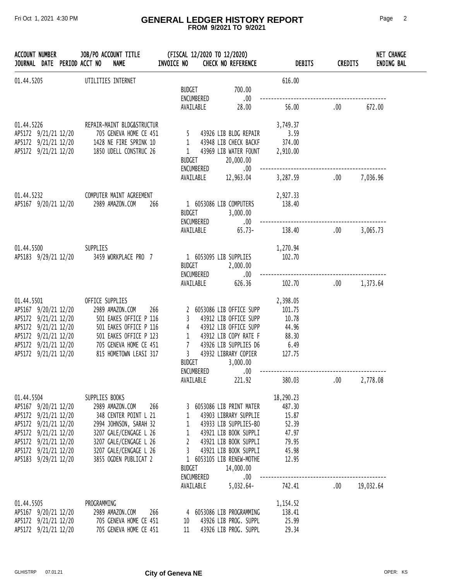### Fri Oct 1, 2021 4:30 PM **GENERAL LEDGER HISTORY REPORT** Page 2  **FROM 9/2021 TO 9/2021**

| <b>ACCOUNT NUMBER</b>                        |  | JOB/PO ACCOUNT TITLE<br>JOURNAL DATE PERIOD ACCT NO<br><b>NAME</b> | INVOICE NO    |                         | (FISCAL 12/2020 TO 12/2020)<br><b>CHECK NO REFERENCE</b> | <b>DEBITS</b>  | <b>CREDITS</b> | NET CHANGE<br><b>ENDING BAL</b> |
|----------------------------------------------|--|--------------------------------------------------------------------|---------------|-------------------------|----------------------------------------------------------|----------------|----------------|---------------------------------|
| 01.44.5205                                   |  | UTILITIES INTERNET                                                 | BUDGET        | ENCUMBERED              | 700.00<br>.00.                                           | 616.00         |                |                                 |
|                                              |  |                                                                    |               | AVAILABLE               | 28.00                                                    | 56.00          | .00.           | 672.00                          |
| 01.44.5226                                   |  | REPAIR-MAINT BLDG&STRUCTUR                                         |               |                         |                                                          | 3,749.37       |                |                                 |
| AP5172 9/21/21 12/20                         |  | 705 GENEVA HOME CE 451                                             |               |                         | 5 43926 LIB BLDG REPAIR                                  | 3.59           |                |                                 |
| AP5172 9/21/21 12/20                         |  | 1428 NE FIRE SPRINK 10                                             |               |                         | 1 43948 LIB CHECK BACKF                                  | 374.00         |                |                                 |
| AP5172 9/21/21 12/20                         |  | 1850 UDELL CONSTRUC 26                                             |               | <b>BUDGET</b>           | 1 43969 LIB WATER FOUNT<br>20,000.00                     | 2,910.00       |                |                                 |
|                                              |  |                                                                    |               | ENCUMBERED<br>AVAILABLE | .00.<br>12,963.04                                        | 3,287.59       | .00.           | 7,036.96                        |
| 01.44.5232                                   |  | COMPUTER MAINT AGREEMENT                                           |               |                         |                                                          | 2,927.33       |                |                                 |
| AP5167 9/20/21 12/20                         |  | 2989 AMAZON.COM                                                    | 266           |                         | 1 6053086 LIB COMPUTERS                                  | 138.40         |                |                                 |
|                                              |  |                                                                    | <b>BUDGET</b> |                         | 3,000.00                                                 |                |                |                                 |
|                                              |  |                                                                    |               | ENCUMBERED<br>AVAILABLE | .00.<br>$65.73-$                                         | 138.40         | .00.           | 3,065.73                        |
| 01.44.5500                                   |  | SUPPLIES                                                           |               |                         |                                                          | 1,270.94       |                |                                 |
| AP5183 9/29/21 12/20                         |  | 3459 WORKPLACE PRO 7                                               | BUDGET        |                         | 1 6053095 LIB SUPPLIES<br>2,000.00                       | 102.70         |                |                                 |
|                                              |  |                                                                    |               | ENCUMBERED<br>AVAILABLE | .00.<br>626.36                                           | 102.70         | .00.           | 1,373.64                        |
| 01.44.5501                                   |  | OFFICE SUPPLIES                                                    |               |                         |                                                          | 2,398.05       |                |                                 |
| AP5167 9/20/21 12/20                         |  | 2989 AMAZON.COM                                                    | 266           |                         | 2 6053086 LIB OFFICE SUPP                                | 101.75         |                |                                 |
| AP5172 9/21/21 12/20                         |  | 501 EAKES OFFICE P 116                                             | 3             |                         | 43912 LIB OFFICE SUPP                                    | 10.78          |                |                                 |
| AP5172 9/21/21 12/20                         |  | 501 EAKES OFFICE P 116                                             |               |                         | 4 43912 LIB OFFICE SUPP                                  | 44.96          |                |                                 |
| AP5172 9/21/21 12/20<br>AP5172 9/21/21 12/20 |  | 501 EAKES OFFICE P 123<br>705 GENEVA HOME CE 451                   |               |                         | 1 43912 LIB COPY RATE F<br>7 43926 LIB SUPPLIES D6       | 88.30<br>6.49  |                |                                 |
| AP5172 9/21/21 12/20                         |  | 815 HOMETOWN LEASI 317                                             |               |                         | 3 43932 LIBRARY COPIER                                   | 127.75         |                |                                 |
|                                              |  |                                                                    | BUDGET        |                         | 3,000.00                                                 |                |                |                                 |
|                                              |  |                                                                    |               | ENCUMBERED              | .00                                                      |                |                |                                 |
|                                              |  |                                                                    |               | AVAILABLE               | 221.92                                                   | 380.03         | $.00\,$        | 2,778.08                        |
| 01.44.5504                                   |  | SUPPLIES BOOKS                                                     |               |                         |                                                          | 18,290.23      |                |                                 |
| AP5167 9/20/21 12/20                         |  | 2989 AMAZON.COM                                                    | 266           |                         | 3 6053086 LIB PRINT MATER                                | 487.30         |                |                                 |
| AP5172 9/21/21 12/20<br>AP5172 9/21/21 12/20 |  | 348 CENTER POINT L 21<br>2994 JOHNSON, SARAH 32                    |               | $1 \quad$               | 43903 LIBRARY SUPPLIE                                    | 15.87<br>52.39 |                |                                 |
| AP5172 9/21/21 12/20                         |  | 3207 GALE/CENGAGE L 26                                             |               |                         | 1 43933 LIB SUPPLIES-BO<br>1 43921 LIB BOOK SUPPLI       | 47.97          |                |                                 |
| AP5172 9/21/21 12/20                         |  | 3207 GALE/CENGAGE L 26                                             |               |                         | 2 43921 LIB BOOK SUPPLI                                  | 79.95          |                |                                 |
| AP5172 9/21/21 12/20                         |  | 3207 GALE/CENGAGE L 26                                             |               |                         | 3 43921 LIB BOOK SUPPLI                                  | 45.98          |                |                                 |
| AP5183 9/29/21 12/20                         |  | 3855 OGDEN PUBLICAT 2                                              | BUDGET        |                         | 1 6053105 LIB RENEW-MOTHE<br>14,000.00                   | 12.95          |                |                                 |
|                                              |  |                                                                    |               | ENCUMBERED              | $.00\,$                                                  |                |                |                                 |
|                                              |  |                                                                    |               | AVAILABLE               | $5,032.64-$                                              | 742.41         | .00            | 19,032.64                       |
| 01.44.5505                                   |  | PROGRAMMING                                                        |               |                         |                                                          | 1,154.52       |                |                                 |
| AP5167 9/20/21 12/20                         |  | 2989 AMAZON.COM                                                    | 266           |                         | 4 6053086 LIB PROGRAMMING                                | 138.41         |                |                                 |
|                                              |  | AP5172 9/21/21 12/20 705 GENEVA HOME CE 451                        | 10            |                         | 43926 LIB PROG. SUPPL                                    | 25.99          |                |                                 |
| AP5172 9/21/21 12/20                         |  | 705 GENEVA HOME CE 451                                             |               |                         | 11 43926 LIB PROG. SUPPL                                 | 29.34          |                |                                 |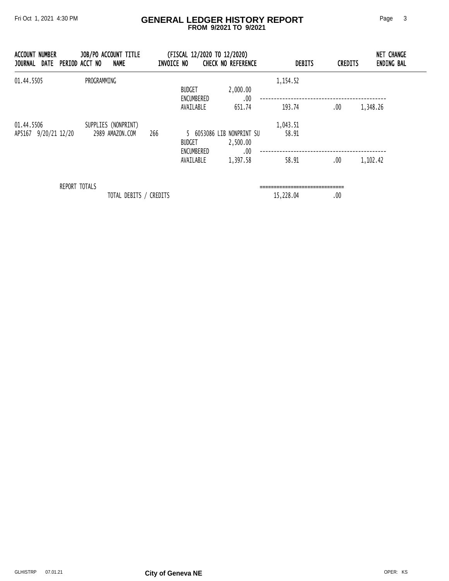### Fri Oct 1, 2021 4:30 PM **GENERAL LEDGER HISTORY REPORT** Page 3  **FROM 9/2021 TO 9/2021**

| NUMBER<br>ACCOUNT<br><b>JOURNAL</b><br>DATE | JOB/PO ACCOUNT TITLE<br>NAME<br>PERIOD ACCT NO | INVOICE NO | (FISCAL 12/2020 TO 12/2020) | <b>CHECK NO REFERENCE</b>                  | <b>DEBITS</b> | <b>CREDITS</b> | <b>NET CHANGE</b><br><b>ENDING BAL</b> |
|---------------------------------------------|------------------------------------------------|------------|-----------------------------|--------------------------------------------|---------------|----------------|----------------------------------------|
| 01.44.5505                                  | PROGRAMMING                                    |            | <b>BUDGET</b><br>ENCUMBERED | 2,000.00<br>.00                            | 1,154.52      |                |                                        |
|                                             |                                                |            | AVAILABLE                   | 651.74                                     | 193.74        | .00            | 1,348.26                               |
| 01.44.5506                                  | SUPPLIES (NONPRINT)                            |            |                             |                                            | 1,043.51      |                |                                        |
| AP5167 9/20/21 12/20                        | 2989 AMAZON.COM                                | 266        | <b>BUDGET</b><br>ENCUMBERED | 6053086 LIB NONPRINT SU<br>2,500.00<br>.00 | 58.91         |                |                                        |
|                                             |                                                |            | AVAILABLE                   | 1,397.58                                   | 58.91         | .00            | 1,102.42                               |
|                                             | REPORT TOTALS                                  |            |                             |                                            |               |                |                                        |

TOTAL DEBITS / CREDITS 15,228.04 .00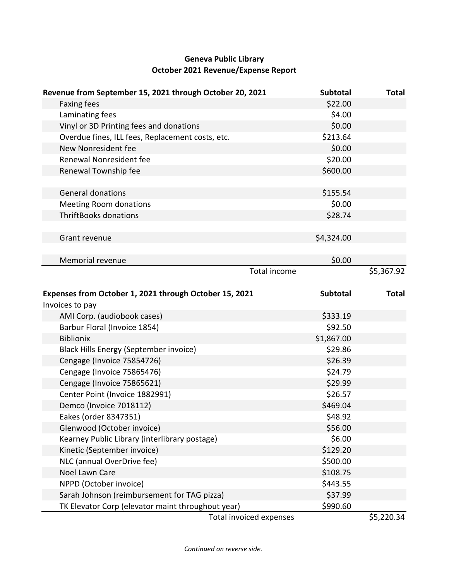# **Geneva Public Library October 2021 Revenue/Expense Report**

| \$22.00<br><b>Faxing fees</b><br>Laminating fees<br>\$4.00<br>\$0.00<br>Vinyl or 3D Printing fees and donations<br>\$213.64<br>Overdue fines, ILL fees, Replacement costs, etc.<br>New Nonresident fee<br>\$0.00<br>\$20.00<br>Renewal Nonresident fee<br>\$600.00<br>Renewal Township fee<br>\$155.54<br><b>General donations</b><br>\$0.00<br><b>Meeting Room donations</b><br><b>ThriftBooks donations</b><br>\$28.74<br>\$4,324.00<br>Grant revenue<br>\$0.00<br>Memorial revenue<br><b>Total income</b><br>\$5,367.92<br>Expenses from October 1, 2021 through October 15, 2021<br><b>Subtotal</b><br><b>Total</b><br>Invoices to pay<br>AMI Corp. (audiobook cases)<br>\$333.19<br>\$92.50<br>Barbur Floral (Invoice 1854)<br>\$1,867.00<br><b>Biblionix</b><br>\$29.86<br>Black Hills Energy (September invoice)<br>\$26.39<br>Cengage (Invoice 75854726)<br>Cengage (Invoice 75865476)<br>\$24.79<br>\$29.99<br>Cengage (Invoice 75865621)<br>Center Point (Invoice 1882991)<br>\$26.57<br>\$469.04<br>Demco (Invoice 7018112)<br>Eakes (order 8347351)<br>\$48.92<br>Glenwood (October invoice)<br>\$56.00<br>\$6.00<br>Kearney Public Library (interlibrary postage) | Revenue from September 15, 2021 through October 20, 2021 | <b>Subtotal</b> | <b>Total</b> |
|--------------------------------------------------------------------------------------------------------------------------------------------------------------------------------------------------------------------------------------------------------------------------------------------------------------------------------------------------------------------------------------------------------------------------------------------------------------------------------------------------------------------------------------------------------------------------------------------------------------------------------------------------------------------------------------------------------------------------------------------------------------------------------------------------------------------------------------------------------------------------------------------------------------------------------------------------------------------------------------------------------------------------------------------------------------------------------------------------------------------------------------------------------------------------------|----------------------------------------------------------|-----------------|--------------|
|                                                                                                                                                                                                                                                                                                                                                                                                                                                                                                                                                                                                                                                                                                                                                                                                                                                                                                                                                                                                                                                                                                                                                                                |                                                          |                 |              |
|                                                                                                                                                                                                                                                                                                                                                                                                                                                                                                                                                                                                                                                                                                                                                                                                                                                                                                                                                                                                                                                                                                                                                                                |                                                          |                 |              |
|                                                                                                                                                                                                                                                                                                                                                                                                                                                                                                                                                                                                                                                                                                                                                                                                                                                                                                                                                                                                                                                                                                                                                                                |                                                          |                 |              |
|                                                                                                                                                                                                                                                                                                                                                                                                                                                                                                                                                                                                                                                                                                                                                                                                                                                                                                                                                                                                                                                                                                                                                                                |                                                          |                 |              |
|                                                                                                                                                                                                                                                                                                                                                                                                                                                                                                                                                                                                                                                                                                                                                                                                                                                                                                                                                                                                                                                                                                                                                                                |                                                          |                 |              |
|                                                                                                                                                                                                                                                                                                                                                                                                                                                                                                                                                                                                                                                                                                                                                                                                                                                                                                                                                                                                                                                                                                                                                                                |                                                          |                 |              |
|                                                                                                                                                                                                                                                                                                                                                                                                                                                                                                                                                                                                                                                                                                                                                                                                                                                                                                                                                                                                                                                                                                                                                                                |                                                          |                 |              |
|                                                                                                                                                                                                                                                                                                                                                                                                                                                                                                                                                                                                                                                                                                                                                                                                                                                                                                                                                                                                                                                                                                                                                                                |                                                          |                 |              |
|                                                                                                                                                                                                                                                                                                                                                                                                                                                                                                                                                                                                                                                                                                                                                                                                                                                                                                                                                                                                                                                                                                                                                                                |                                                          |                 |              |
|                                                                                                                                                                                                                                                                                                                                                                                                                                                                                                                                                                                                                                                                                                                                                                                                                                                                                                                                                                                                                                                                                                                                                                                |                                                          |                 |              |
|                                                                                                                                                                                                                                                                                                                                                                                                                                                                                                                                                                                                                                                                                                                                                                                                                                                                                                                                                                                                                                                                                                                                                                                |                                                          |                 |              |
|                                                                                                                                                                                                                                                                                                                                                                                                                                                                                                                                                                                                                                                                                                                                                                                                                                                                                                                                                                                                                                                                                                                                                                                |                                                          |                 |              |
|                                                                                                                                                                                                                                                                                                                                                                                                                                                                                                                                                                                                                                                                                                                                                                                                                                                                                                                                                                                                                                                                                                                                                                                |                                                          |                 |              |
|                                                                                                                                                                                                                                                                                                                                                                                                                                                                                                                                                                                                                                                                                                                                                                                                                                                                                                                                                                                                                                                                                                                                                                                |                                                          |                 |              |
|                                                                                                                                                                                                                                                                                                                                                                                                                                                                                                                                                                                                                                                                                                                                                                                                                                                                                                                                                                                                                                                                                                                                                                                |                                                          |                 |              |
|                                                                                                                                                                                                                                                                                                                                                                                                                                                                                                                                                                                                                                                                                                                                                                                                                                                                                                                                                                                                                                                                                                                                                                                |                                                          |                 |              |
|                                                                                                                                                                                                                                                                                                                                                                                                                                                                                                                                                                                                                                                                                                                                                                                                                                                                                                                                                                                                                                                                                                                                                                                |                                                          |                 |              |
|                                                                                                                                                                                                                                                                                                                                                                                                                                                                                                                                                                                                                                                                                                                                                                                                                                                                                                                                                                                                                                                                                                                                                                                |                                                          |                 |              |
|                                                                                                                                                                                                                                                                                                                                                                                                                                                                                                                                                                                                                                                                                                                                                                                                                                                                                                                                                                                                                                                                                                                                                                                |                                                          |                 |              |
|                                                                                                                                                                                                                                                                                                                                                                                                                                                                                                                                                                                                                                                                                                                                                                                                                                                                                                                                                                                                                                                                                                                                                                                |                                                          |                 |              |
|                                                                                                                                                                                                                                                                                                                                                                                                                                                                                                                                                                                                                                                                                                                                                                                                                                                                                                                                                                                                                                                                                                                                                                                |                                                          |                 |              |
|                                                                                                                                                                                                                                                                                                                                                                                                                                                                                                                                                                                                                                                                                                                                                                                                                                                                                                                                                                                                                                                                                                                                                                                |                                                          |                 |              |
|                                                                                                                                                                                                                                                                                                                                                                                                                                                                                                                                                                                                                                                                                                                                                                                                                                                                                                                                                                                                                                                                                                                                                                                |                                                          |                 |              |
|                                                                                                                                                                                                                                                                                                                                                                                                                                                                                                                                                                                                                                                                                                                                                                                                                                                                                                                                                                                                                                                                                                                                                                                |                                                          |                 |              |
|                                                                                                                                                                                                                                                                                                                                                                                                                                                                                                                                                                                                                                                                                                                                                                                                                                                                                                                                                                                                                                                                                                                                                                                |                                                          |                 |              |
|                                                                                                                                                                                                                                                                                                                                                                                                                                                                                                                                                                                                                                                                                                                                                                                                                                                                                                                                                                                                                                                                                                                                                                                |                                                          |                 |              |
|                                                                                                                                                                                                                                                                                                                                                                                                                                                                                                                                                                                                                                                                                                                                                                                                                                                                                                                                                                                                                                                                                                                                                                                |                                                          |                 |              |
|                                                                                                                                                                                                                                                                                                                                                                                                                                                                                                                                                                                                                                                                                                                                                                                                                                                                                                                                                                                                                                                                                                                                                                                |                                                          |                 |              |
|                                                                                                                                                                                                                                                                                                                                                                                                                                                                                                                                                                                                                                                                                                                                                                                                                                                                                                                                                                                                                                                                                                                                                                                |                                                          |                 |              |
|                                                                                                                                                                                                                                                                                                                                                                                                                                                                                                                                                                                                                                                                                                                                                                                                                                                                                                                                                                                                                                                                                                                                                                                |                                                          |                 |              |
|                                                                                                                                                                                                                                                                                                                                                                                                                                                                                                                                                                                                                                                                                                                                                                                                                                                                                                                                                                                                                                                                                                                                                                                |                                                          |                 |              |
|                                                                                                                                                                                                                                                                                                                                                                                                                                                                                                                                                                                                                                                                                                                                                                                                                                                                                                                                                                                                                                                                                                                                                                                |                                                          |                 |              |
| NLC (annual OverDrive fee)<br>\$500.00                                                                                                                                                                                                                                                                                                                                                                                                                                                                                                                                                                                                                                                                                                                                                                                                                                                                                                                                                                                                                                                                                                                                         | Kinetic (September invoice)                              | \$129.20        |              |
| Noel Lawn Care<br>\$108.75                                                                                                                                                                                                                                                                                                                                                                                                                                                                                                                                                                                                                                                                                                                                                                                                                                                                                                                                                                                                                                                                                                                                                     |                                                          |                 |              |
| \$443.55<br>NPPD (October invoice)                                                                                                                                                                                                                                                                                                                                                                                                                                                                                                                                                                                                                                                                                                                                                                                                                                                                                                                                                                                                                                                                                                                                             |                                                          |                 |              |
| \$37.99<br>Sarah Johnson (reimbursement for TAG pizza)                                                                                                                                                                                                                                                                                                                                                                                                                                                                                                                                                                                                                                                                                                                                                                                                                                                                                                                                                                                                                                                                                                                         |                                                          |                 |              |
| TK Elevator Corp (elevator maint throughout year)<br>\$990.60<br>55.220.24<br>Total invoiced of                                                                                                                                                                                                                                                                                                                                                                                                                                                                                                                                                                                                                                                                                                                                                                                                                                                                                                                                                                                                                                                                                |                                                          |                 |              |

Total invoiced expenses 65,220.34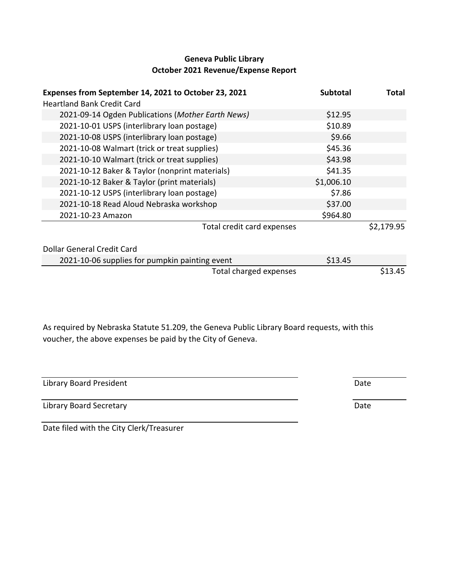# **Geneva Public Library October 2021 Revenue/Expense Report**

| Expenses from September 14, 2021 to October 23, 2021<br><b>Heartland Bank Credit Card</b> | <b>Subtotal</b> | Total      |
|-------------------------------------------------------------------------------------------|-----------------|------------|
| 2021-09-14 Ogden Publications (Mother Earth News)                                         | \$12.95         |            |
| 2021-10-01 USPS (interlibrary loan postage)                                               | \$10.89         |            |
| 2021-10-08 USPS (interlibrary loan postage)                                               | \$9.66          |            |
| 2021-10-08 Walmart (trick or treat supplies)                                              | \$45.36         |            |
| 2021-10-10 Walmart (trick or treat supplies)                                              | \$43.98         |            |
| 2021-10-12 Baker & Taylor (nonprint materials)                                            | \$41.35         |            |
| 2021-10-12 Baker & Taylor (print materials)                                               | \$1,006.10      |            |
| 2021-10-12 USPS (interlibrary loan postage)                                               | \$7.86          |            |
| 2021-10-18 Read Aloud Nebraska workshop                                                   | \$37.00         |            |
| 2021-10-23 Amazon                                                                         | \$964.80        |            |
| Total credit card expenses                                                                |                 | \$2,179.95 |
| Dollar General Credit Card                                                                |                 |            |
| 2021-10-06 supplies for pumpkin painting event                                            | \$13.45         |            |
| Total charged expenses                                                                    |                 | \$13.45    |

As required by Nebraska Statute 51.209, the Geneva Public Library Board requests, with this voucher, the above expenses be paid by the City of Geneva.

| Library Board President | Date |
|-------------------------|------|
| Library Board Secretary | Date |

Date filed with the City Clerk/Treasurer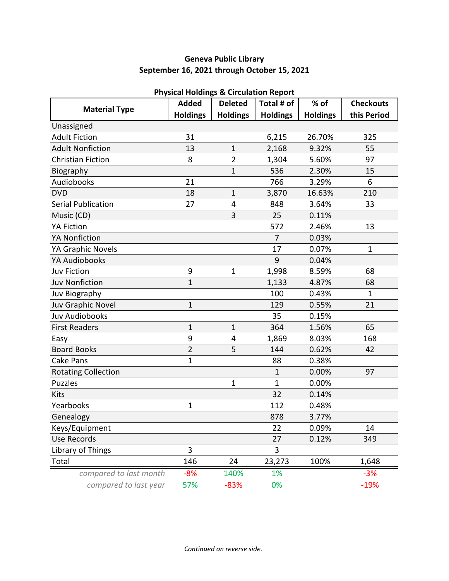# **Geneva Public Library September 16, 2021 through October 15, 2021**

|                            | Priysical Holdings & Circulation Report<br><b>Added</b> | <b>Deleted</b>  | Total # of      | $%$ of          | <b>Checkouts</b> |
|----------------------------|---------------------------------------------------------|-----------------|-----------------|-----------------|------------------|
| <b>Material Type</b>       | <b>Holdings</b>                                         | <b>Holdings</b> | <b>Holdings</b> | <b>Holdings</b> | this Period      |
| Unassigned                 |                                                         |                 |                 |                 |                  |
| <b>Adult Fiction</b>       | 31                                                      |                 | 6,215           | 26.70%          | 325              |
| <b>Adult Nonfiction</b>    | 13                                                      | $\mathbf{1}$    | 2,168           | 9.32%           | 55               |
| <b>Christian Fiction</b>   | 8                                                       | $\overline{2}$  | 1,304           | 5.60%           | 97               |
| Biography                  |                                                         | $\mathbf{1}$    | 536             | 2.30%           | 15               |
| Audiobooks                 | 21                                                      |                 | 766             | 3.29%           | 6                |
| <b>DVD</b>                 | 18                                                      | $\mathbf{1}$    | 3,870           | 16.63%          | 210              |
| <b>Serial Publication</b>  | 27                                                      | 4               | 848             | 3.64%           | 33               |
| Music (CD)                 |                                                         | 3               | 25              | 0.11%           |                  |
| <b>YA Fiction</b>          |                                                         |                 | 572             | 2.46%           | 13               |
| <b>YA Nonfiction</b>       |                                                         |                 | $\overline{7}$  | 0.03%           |                  |
| YA Graphic Novels          |                                                         |                 | 17              | 0.07%           | $\mathbf 1$      |
| <b>YA Audiobooks</b>       |                                                         |                 | 9               | 0.04%           |                  |
| <b>Juv Fiction</b>         | 9                                                       | $\mathbf{1}$    | 1,998           | 8.59%           | 68               |
| <b>Juv Nonfiction</b>      | $\overline{1}$                                          |                 | 1,133           | 4.87%           | 68               |
| Juv Biography              |                                                         |                 | 100             | 0.43%           | $\mathbf 1$      |
| Juv Graphic Novel          | $\mathbf 1$                                             |                 | 129             | 0.55%           | 21               |
| <b>Juv Audiobooks</b>      |                                                         |                 | 35              | 0.15%           |                  |
| <b>First Readers</b>       | $\mathbf{1}$                                            | $\mathbf 1$     | 364             | 1.56%           | 65               |
| Easy                       | 9                                                       | 4               | 1,869           | 8.03%           | 168              |
| <b>Board Books</b>         | $\overline{2}$                                          | 5               | 144             | 0.62%           | 42               |
| <b>Cake Pans</b>           | 1                                                       |                 | 88              | 0.38%           |                  |
| <b>Rotating Collection</b> |                                                         |                 | 1               | 0.00%           | 97               |
| <b>Puzzles</b>             |                                                         | $\mathbf 1$     | 1               | 0.00%           |                  |
| Kits                       |                                                         |                 | 32              | 0.14%           |                  |
| Yearbooks                  | 1                                                       |                 | 112             | 0.48%           |                  |
| Genealogy                  |                                                         |                 | 878             | 3.77%           |                  |
| Keys/Equipment             |                                                         |                 | 22              | 0.09%           | 14               |
| <b>Use Records</b>         |                                                         |                 | 27              | 0.12%           | 349              |
| Library of Things          | 3                                                       |                 | 3               |                 |                  |
| Total                      | 146                                                     | 24              | 23,273          | 100%            | 1,648            |
| compared to last month     | $-8%$                                                   | 140%            | 1%              |                 | $-3%$            |
| compared to last year      | 57%                                                     | $-83%$          | 0%              |                 | $-19%$           |

# **Physical Holdings & Circulation Report**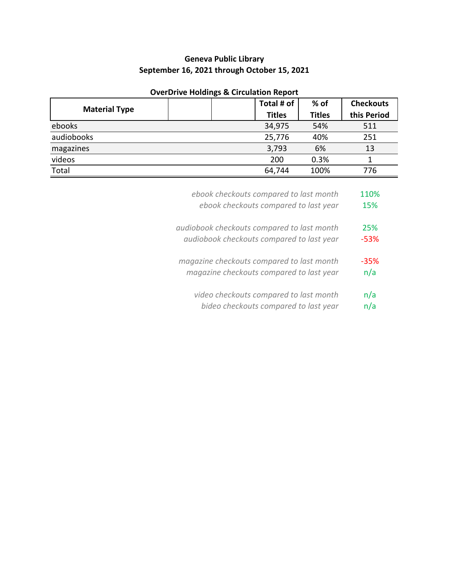# **Geneva Public Library September 16, 2021 through October 15, 2021**

|                      | Total # of    | $%$ of        | <b>Checkouts</b> |
|----------------------|---------------|---------------|------------------|
| <b>Material Type</b> | <b>Titles</b> | <b>Titles</b> | this Period      |
| ebooks               | 34,975        | 54%           | 511              |
| audiobooks           | 25,776        | 40%           | 251              |
| magazines            | 3,793         | 6%            | 13               |
| videos               | 200           | 0.3%          |                  |
| Total                | 64,744        | 100%          | 776              |
|                      |               |               |                  |

# **OverDrive Holdings & Circulation Report**

| ebook checkouts compared to last month     | 110%   |
|--------------------------------------------|--------|
| ebook checkouts compared to last year      | 15%    |
| audiobook checkouts compared to last month | 25%    |
| audiobook checkouts compared to last year  | -53%   |
| magazine checkouts compared to last month  | $-35%$ |
| magazine checkouts compared to last year   | n/a    |
| video checkouts compared to last month     | n/a    |
| bideo checkouts compared to last year      | n/a    |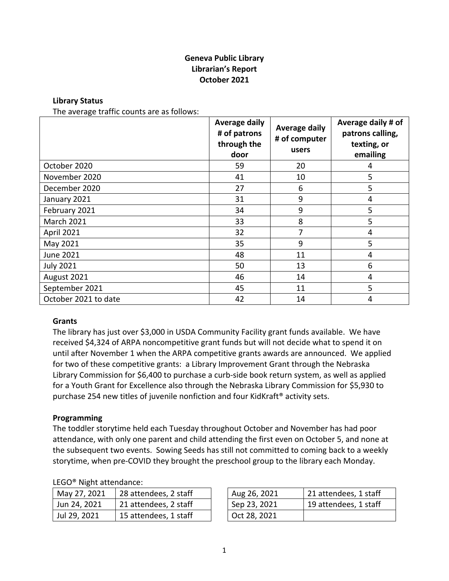# **Geneva Public Library Librarian's Report October 2021**

### **Library Status**

The average traffic counts are as follows:

|                      | <b>Average daily</b><br># of patrons<br>through the<br>door | <b>Average daily</b><br># of computer<br>users | Average daily # of<br>patrons calling,<br>texting, or<br>emailing |
|----------------------|-------------------------------------------------------------|------------------------------------------------|-------------------------------------------------------------------|
| October 2020         | 59                                                          | 20                                             | 4                                                                 |
| November 2020        | 41                                                          | 10                                             | 5                                                                 |
| December 2020        | 27                                                          | 6                                              | 5                                                                 |
| January 2021         | 31                                                          | 9                                              | 4                                                                 |
| February 2021        | 34                                                          | 9                                              | 5                                                                 |
| <b>March 2021</b>    | 33                                                          | 8                                              | 5                                                                 |
| April 2021           | 32                                                          | 7                                              | 4                                                                 |
| May 2021             | 35                                                          | 9                                              | 5                                                                 |
| June 2021            | 48                                                          | 11                                             | 4                                                                 |
| <b>July 2021</b>     | 50                                                          | 13                                             | 6                                                                 |
| August 2021          | 46                                                          | 14                                             | 4                                                                 |
| September 2021       | 45                                                          | 11                                             | 5                                                                 |
| October 2021 to date | 42                                                          | 14                                             | 4                                                                 |

### **Grants**

The library has just over \$3,000 in USDA Community Facility grant funds available. We have received \$4,324 of ARPA noncompetitive grant funds but will not decide what to spend it on until after November 1 when the ARPA competitive grants awards are announced. We applied for two of these competitive grants: a Library Improvement Grant through the Nebraska Library Commission for \$6,400 to purchase a curb-side book return system, as well as applied for a Youth Grant for Excellence also through the Nebraska Library Commission for \$5,930 to purchase 254 new titles of juvenile nonfiction and four KidKraft® activity sets.

### **Programming**

The toddler storytime held each Tuesday throughout October and November has had poor attendance, with only one parent and child attending the first even on October 5, and none at the subsequent two events. Sowing Seeds has still not committed to coming back to a weekly storytime, when pre-COVID they brought the preschool group to the library each Monday.

### LEGO® Night attendance:

| May 27, 2021 | 28 attendees, 2 staff | Aug 26, 2021 |
|--------------|-----------------------|--------------|
| Jun 24, 2021 | 21 attendees, 2 staff | Sep 23, 2021 |
| Jul 29, 2021 | 15 attendees, 1 staff | Oct 28, 2021 |

| May 27, 2021 | 28 attendees, 2 staff | Aug 26, 2021 | 21 attendees, 1 staff |
|--------------|-----------------------|--------------|-----------------------|
| Jun 24, 2021 | 21 attendees, 2 staff | Sep 23, 2021 | 19 attendees, 1 staff |
| Jul 29, 2021 | 15 attendees, 1 staff | Oct 28, 2021 |                       |